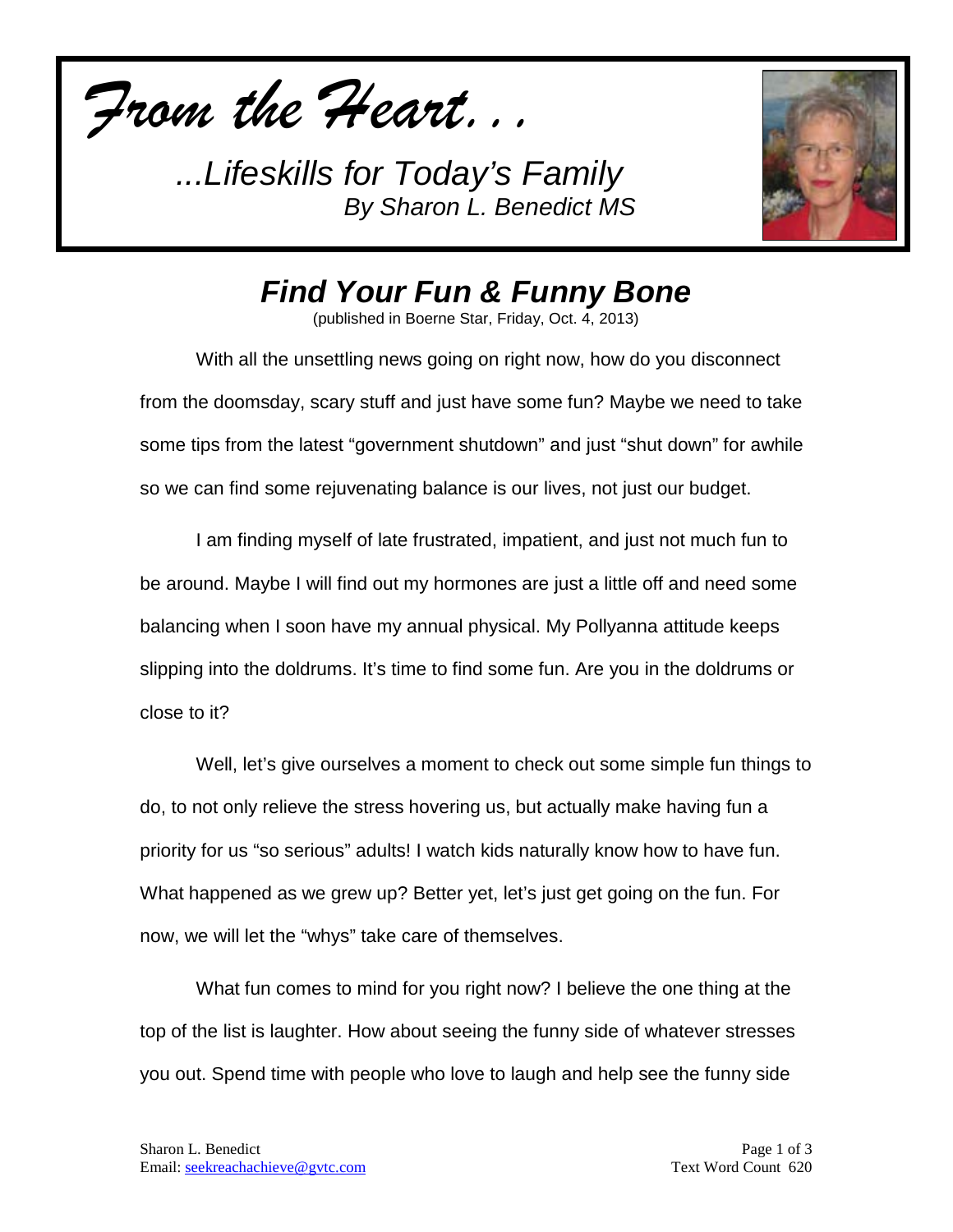*From the Heart...*



*Find Your Fun & Funny Bone*

(published in Boerne Star, Friday, Oct. 4, 2013)

With all the unsettling news going on right now, how do you disconnect from the doomsday, scary stuff and just have some fun? Maybe we need to take some tips from the latest "government shutdown" and just "shut down" for awhile so we can find some rejuvenating balance is our lives, not just our budget.

I am finding myself of late frustrated, impatient, and just not much fun to be around. Maybe I will find out my hormones are just a little off and need some balancing when I soon have my annual physical. My Pollyanna attitude keeps slipping into the doldrums. It's time to find some fun. Are you in the doldrums or close to it?

Well, let's give ourselves a moment to check out some simple fun things to do, to not only relieve the stress hovering us, but actually make having fun a priority for us "so serious" adults! I watch kids naturally know how to have fun. What happened as we grew up? Better yet, let's just get going on the fun. For now, we will let the "whys" take care of themselves.

What fun comes to mind for you right now? I believe the one thing at the top of the list is laughter. How about seeing the funny side of whatever stresses you out. Spend time with people who love to laugh and help see the funny side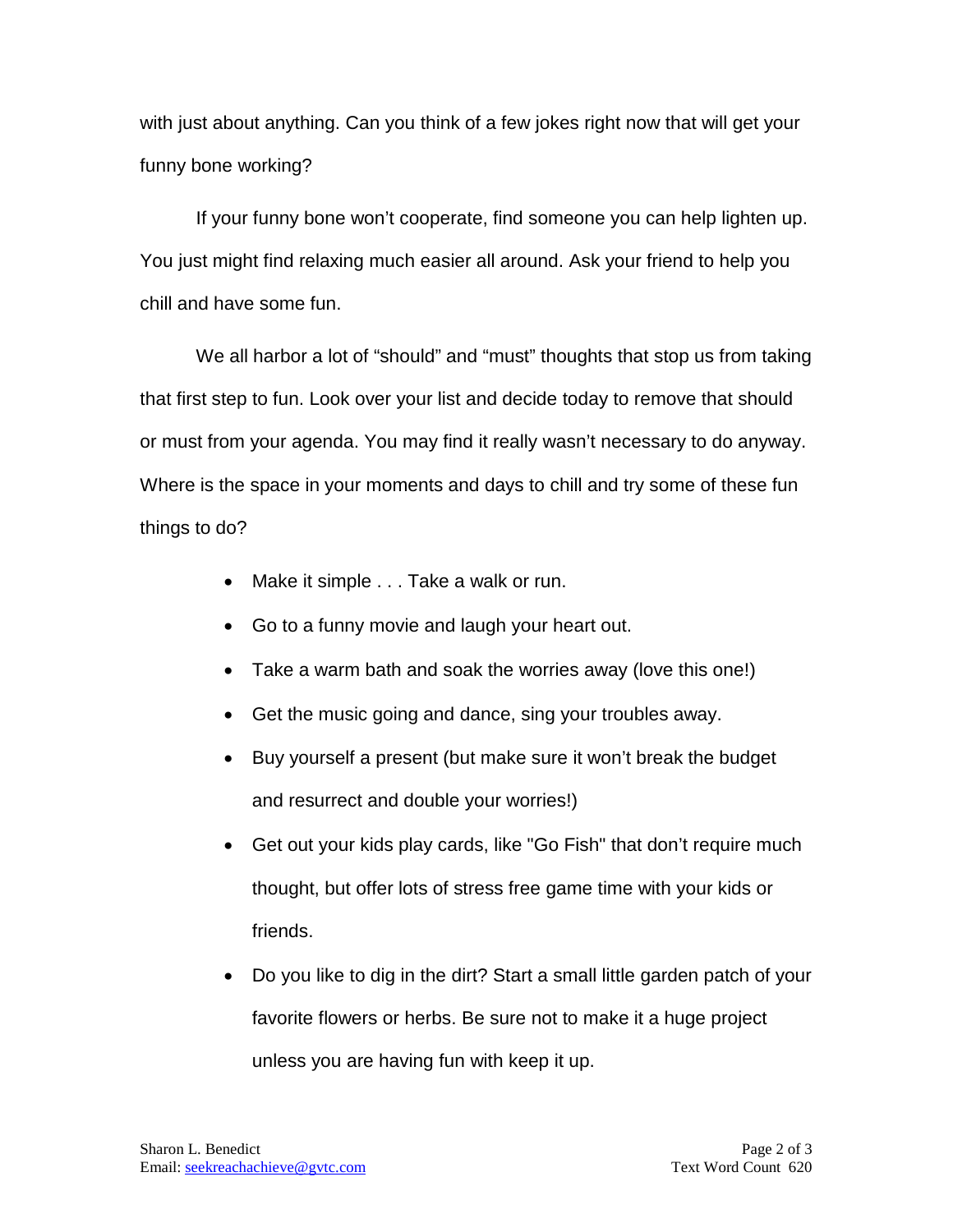with just about anything. Can you think of a few jokes right now that will get your funny bone working?

If your funny bone won't cooperate, find someone you can help lighten up. You just might find relaxing much easier all around. Ask your friend to help you chill and have some fun.

We all harbor a lot of "should" and "must" thoughts that stop us from taking that first step to fun. Look over your list and decide today to remove that should or must from your agenda. You may find it really wasn't necessary to do anyway. Where is the space in your moments and days to chill and try some of these fun things to do?

- Make it simple . . . Take a walk or run.
- Go to a funny movie and laugh your heart out.
- Take a warm bath and soak the worries away (love this one!)
- Get the music going and dance, sing your troubles away.
- Buy yourself a present (but make sure it won't break the budget and resurrect and double your worries!)
- Get out your kids play cards, like "Go Fish" that don't require much thought, but offer lots of stress free game time with your kids or friends.
- Do you like to dig in the dirt? Start a small little garden patch of your favorite flowers or herbs. Be sure not to make it a huge project unless you are having fun with keep it up.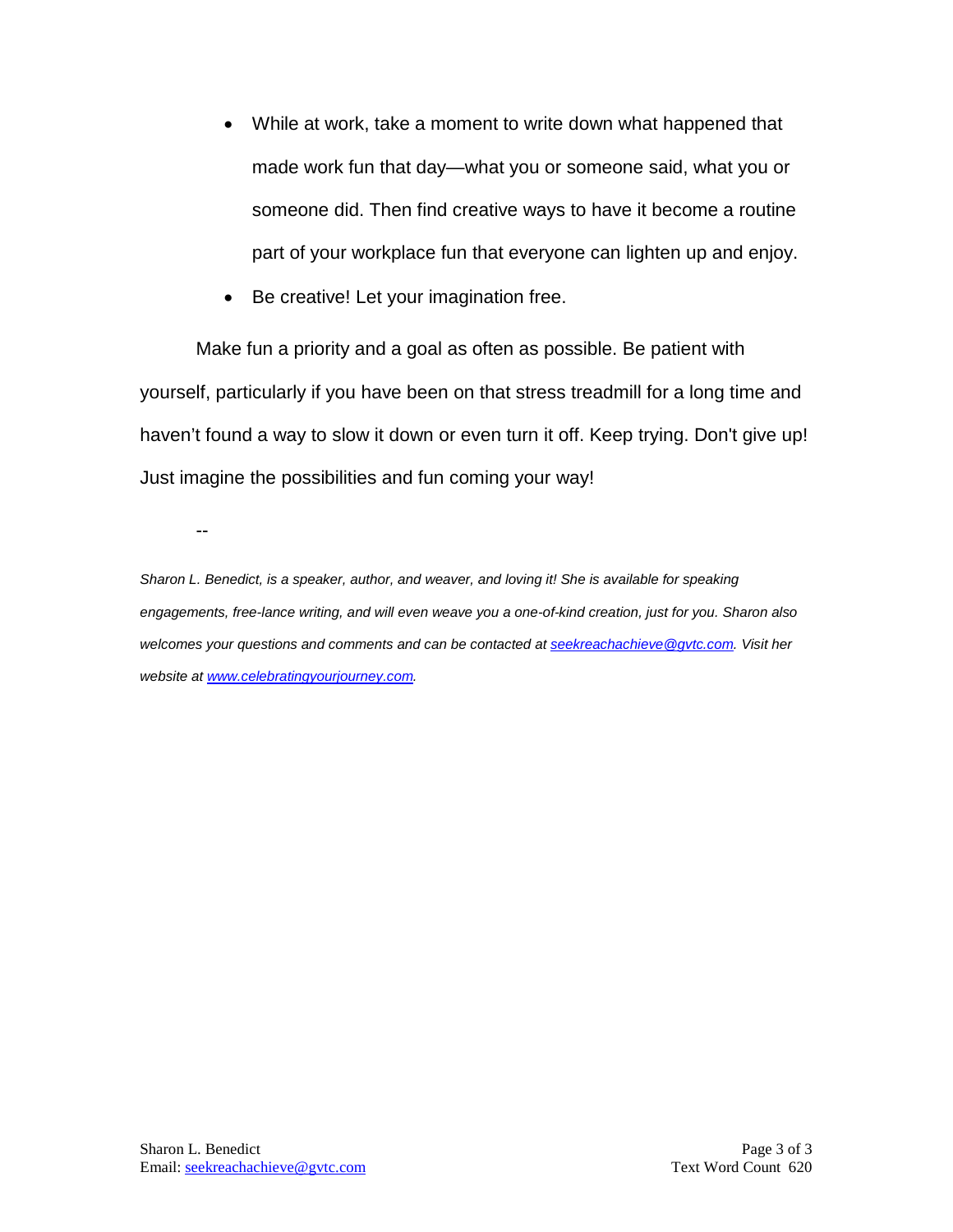- While at work, take a moment to write down what happened that made work fun that day—what you or someone said, what you or someone did. Then find creative ways to have it become a routine part of your workplace fun that everyone can lighten up and enjoy.
- Be creative! Let your imagination free.

Make fun a priority and a goal as often as possible. Be patient with yourself, particularly if you have been on that stress treadmill for a long time and haven't found a way to slow it down or even turn it off. Keep trying. Don't give up! Just imagine the possibilities and fun coming your way!

--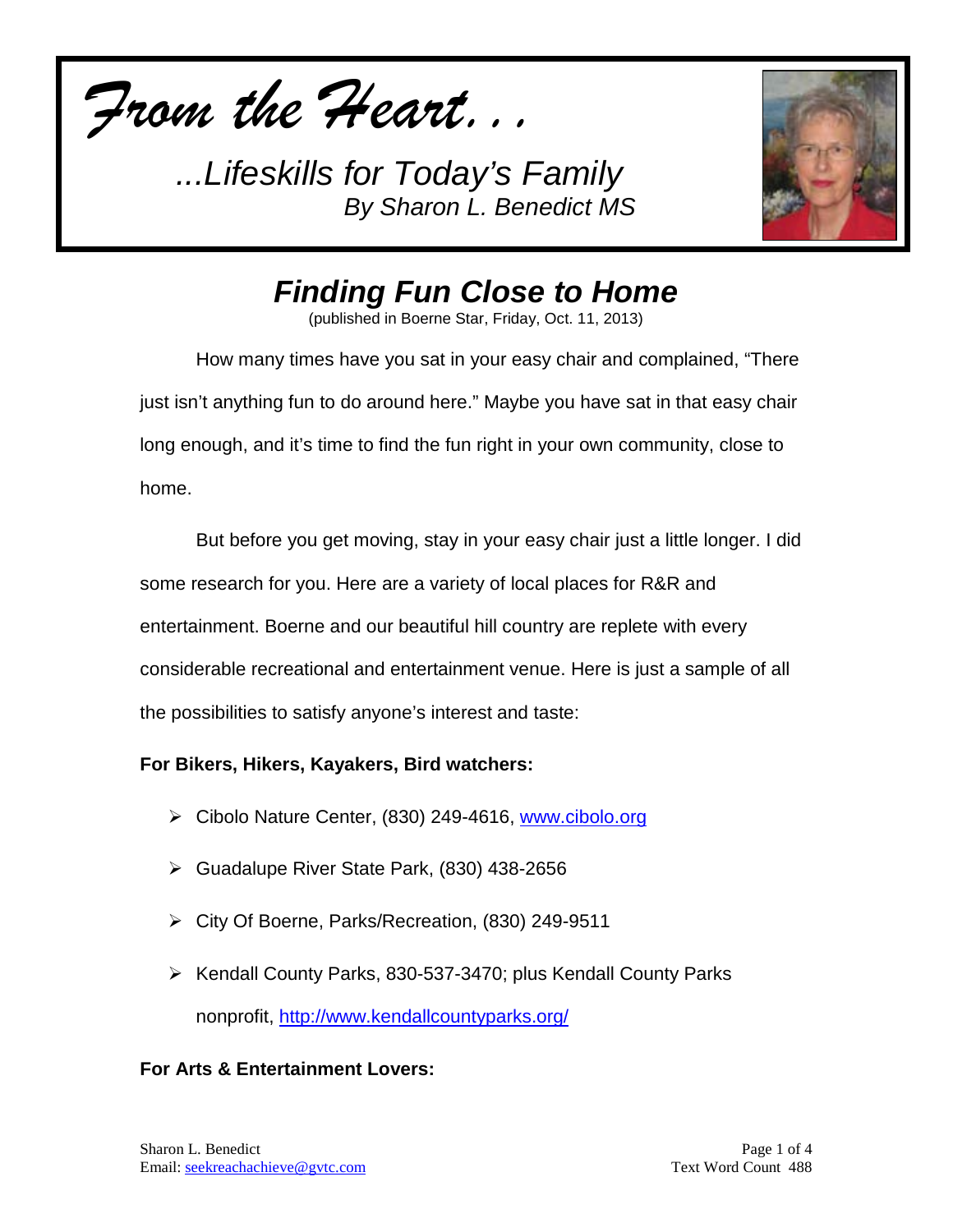*From the Heart...*



*Finding Fun Close to Home*

(published in Boerne Star, Friday, Oct. 11, 2013)

How many times have you sat in your easy chair and complained, "There just isn't anything fun to do around here." Maybe you have sat in that easy chair long enough, and it's time to find the fun right in your own community, close to home.

But before you get moving, stay in your easy chair just a little longer. I did some research for you. Here are a variety of local places for R&R and entertainment. Boerne and our beautiful hill country are replete with every considerable recreational and entertainment venue. Here is just a sample of all the possibilities to satisfy anyone's interest and taste:

## **For Bikers, Hikers, Kayakers, Bird watchers:**

- Cibolo Nature Center, (830) 249-4616, [www.cibolo.org](http://www.cibolo.org/)
- Guadalupe River State Park, (830) 438-2656
- City Of Boerne, Parks/Recreation, (830) 249-9511
- $\triangleright$  Kendall County Parks, 830-537-3470; plus Kendall County Parks nonprofit,<http://www.kendallcountyparks.org/>

## **For Arts & Entertainment Lovers:**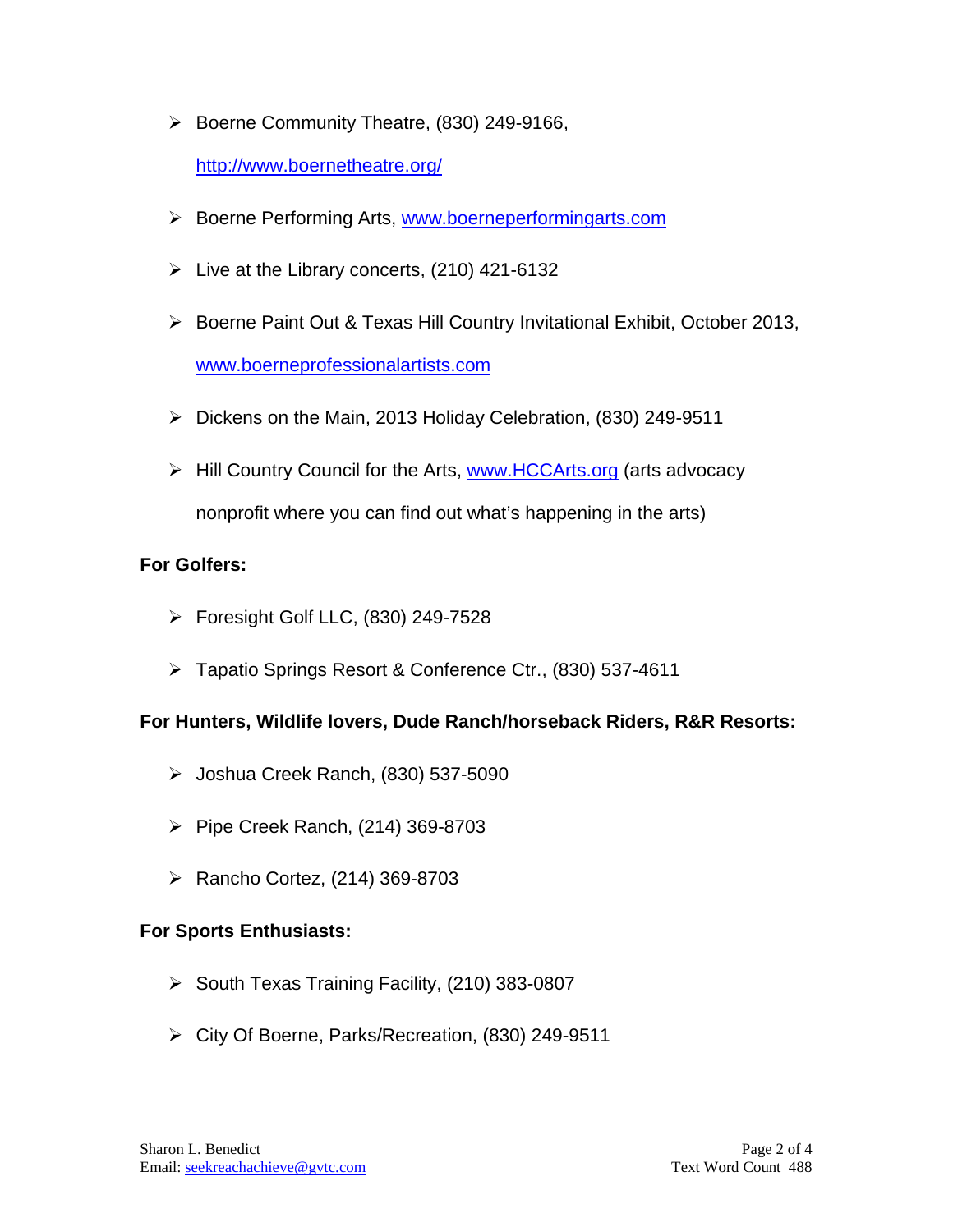$\triangleright$  Boerne Community Theatre, (830) 249-9166,

<http://www.boernetheatre.org/>

- ▶ Boerne Performing Arts, [www.boerneperformingarts.com](http://www.boerneperformingarts.com/)
- $\triangleright$  Live at the Library concerts, (210) 421-6132
- ▶ Boerne Paint Out & Texas Hill Country Invitational Exhibit, October 2013, [www.boerneprofessionalartists.com](http://www.boerneprofessionalartists.com/)
- $\triangleright$  Dickens on the Main, 2013 Holiday Celebration, (830) 249-9511
- ▶ Hill Country Council for the Arts, [www.HCCArts.org](http://www.hccarts.org/) (arts advocacy nonprofit where you can find out what's happening in the arts)

# **For Golfers:**

- $\triangleright$  Foresight Golf LLC, (830) 249-7528
- Tapatio Springs Resort & Conference Ctr., (830) 537-4611

## **For Hunters, Wildlife lovers, Dude Ranch/horseback Riders, R&R Resorts:**

- Joshua Creek Ranch, (830) 537-5090
- $\triangleright$  Pipe Creek Ranch, (214) 369-8703
- $\triangleright$  Rancho Cortez, (214) 369-8703

## **For Sports Enthusiasts:**

- $\triangleright$  South Texas Training Facility, (210) 383-0807
- City Of Boerne, Parks/Recreation, (830) 249-9511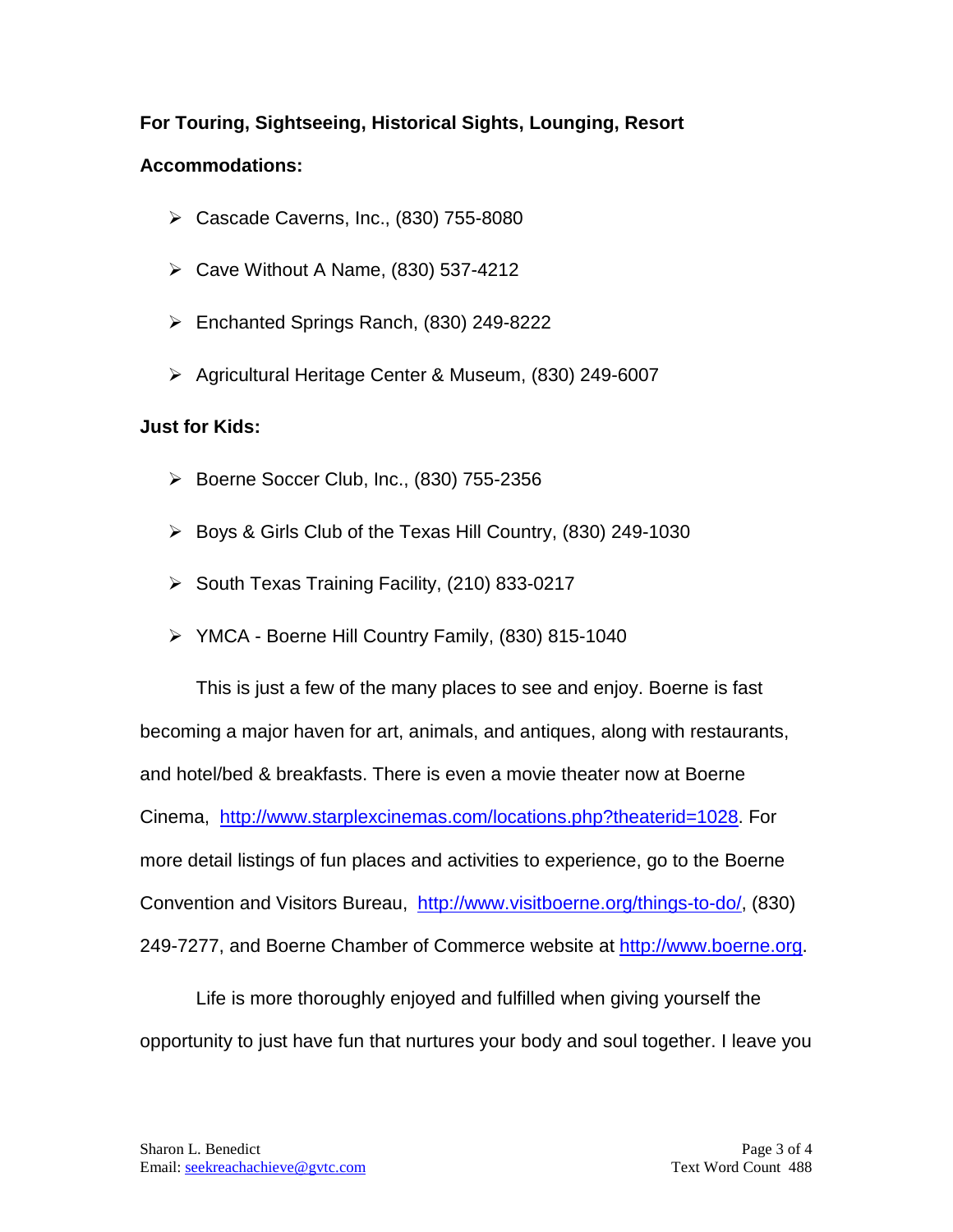## **For Touring, Sightseeing, Historical Sights, Lounging, Resort**

#### **Accommodations:**

- $\triangleright$  Cascade Caverns, Inc., (830) 755-8080
- $\triangleright$  Cave Without A Name, (830) 537-4212
- Enchanted Springs Ranch, (830) 249-8222
- Agricultural Heritage Center & Museum, (830) 249-6007

#### **Just for Kids:**

- $\triangleright$  Boerne Soccer Club, Inc., (830) 755-2356
- $\triangleright$  Boys & Girls Club of the Texas Hill Country, (830) 249-1030
- $\triangleright$  South Texas Training Facility, (210) 833-0217
- YMCA Boerne Hill Country Family, (830) 815-1040

This is just a few of the many places to see and enjoy. Boerne is fast becoming a major haven for art, animals, and antiques, along with restaurants, and hotel/bed & breakfasts. There is even a movie theater now at Boerne Cinema, [http://www.starplexcinemas.com/locations.php?theaterid=1028.](http://www.starplexcinemas.com/locations.php?theaterid=1028) For more detail listings of fun places and activities to experience, go to the Boerne Convention and Visitors Bureau, [http://www.visitboerne.org/things-to-do/,](http://www.visitboerne.org/things-to-do/) (830) 249-7277, and Boerne Chamber of Commerce website at [http://www.boerne.org.](http://www.boerne.org/)

Life is more thoroughly enjoyed and fulfilled when giving yourself the opportunity to just have fun that nurtures your body and soul together. I leave you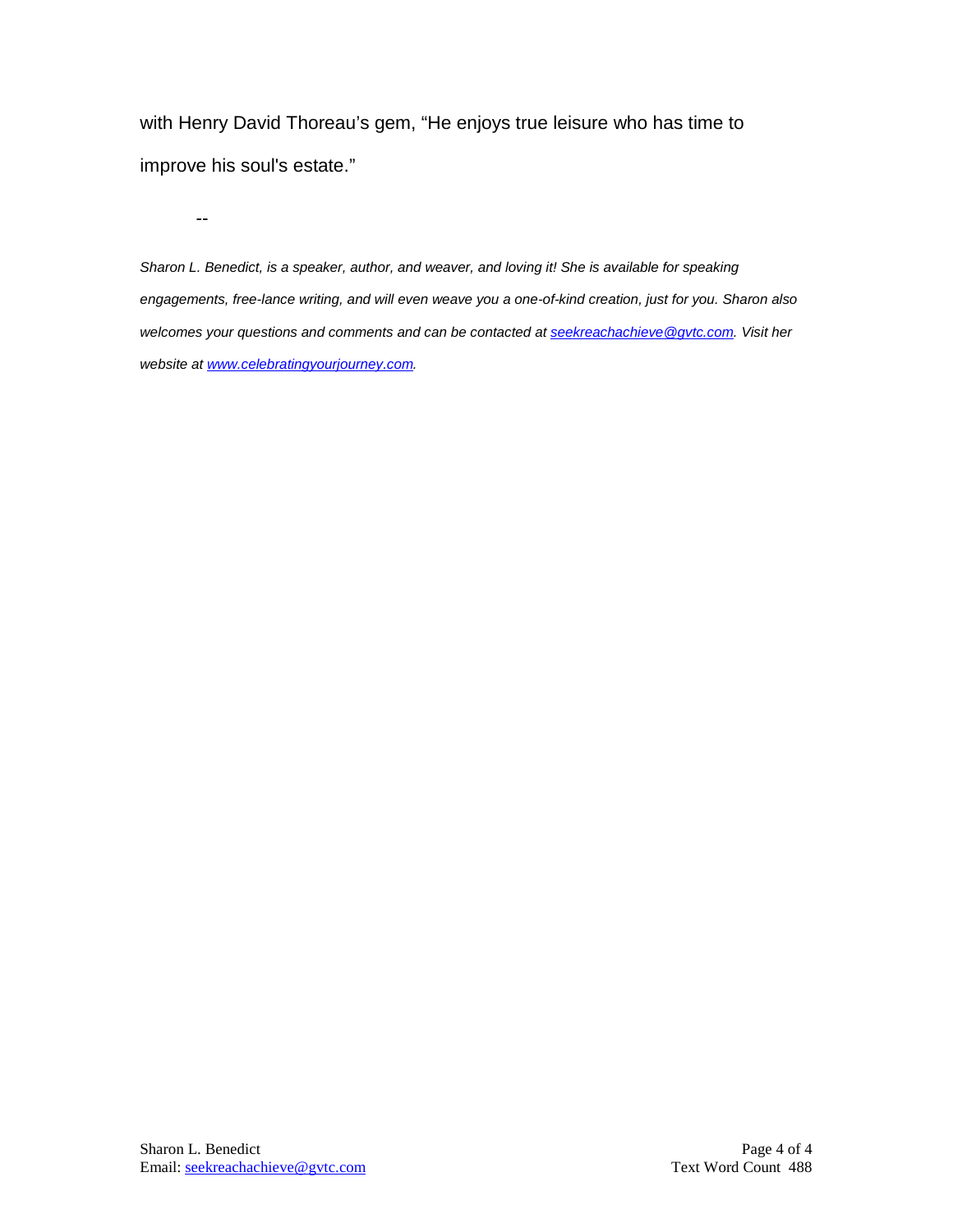with Henry David Thoreau's gem, "He enjoys true leisure who has time to improve his soul's estate."

--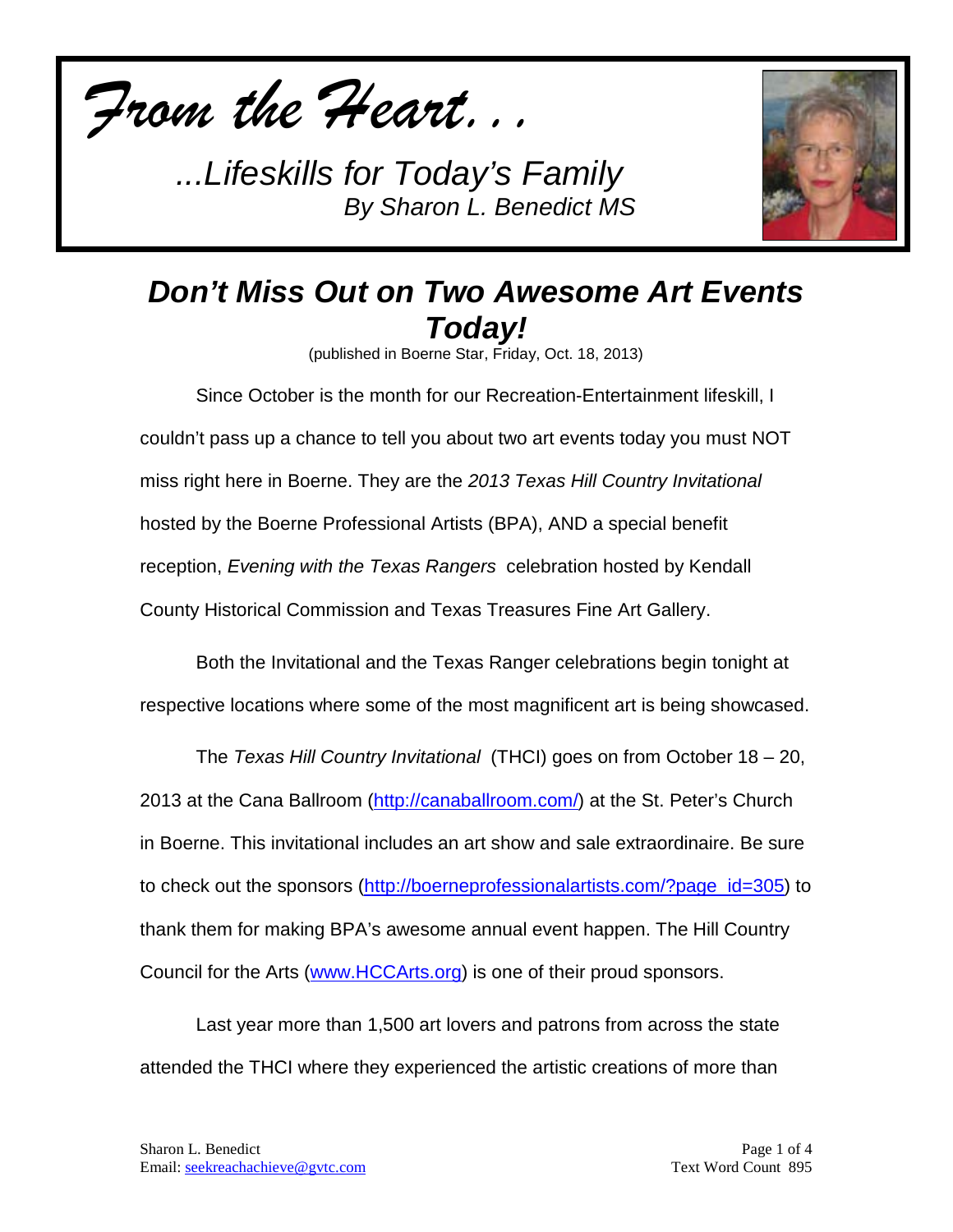



# *Don't Miss Out on Two Awesome Art Events Today!*

(published in Boerne Star, Friday, Oct. 18, 2013)

Since October is the month for our Recreation-Entertainment lifeskill, I couldn't pass up a chance to tell you about two art events today you must NOT miss right here in Boerne. They are the *2013 Texas Hill Country Invitational* hosted by the Boerne Professional Artists (BPA), AND a special benefit reception, *Evening with the Texas Rangers* celebration hosted by Kendall County Historical Commission and Texas Treasures Fine Art Gallery.

Both the Invitational and the Texas Ranger celebrations begin tonight at respective locations where some of the most magnificent art is being showcased.

The *Texas Hill Country Invitational* (THCI) goes on from October 18 – 20, 2013 at the Cana Ballroom [\(http://canaballroom.com/\)](http://canaballroom.com/) at the St. Peter's Church in Boerne. This invitational includes an art show and sale extraordinaire. Be sure to check out the sponsors [\(http://boerneprofessionalartists.com/?page\\_id=305\)](http://boerneprofessionalartists.com/?page_id=305) to thank them for making BPA's awesome annual event happen. The Hill Country Council for the Arts [\(www.HCCArts.org\)](http://www.hccarts.org/) is one of their proud sponsors.

Last year more than 1,500 art lovers and patrons from across the state attended the THCI where they experienced the artistic creations of more than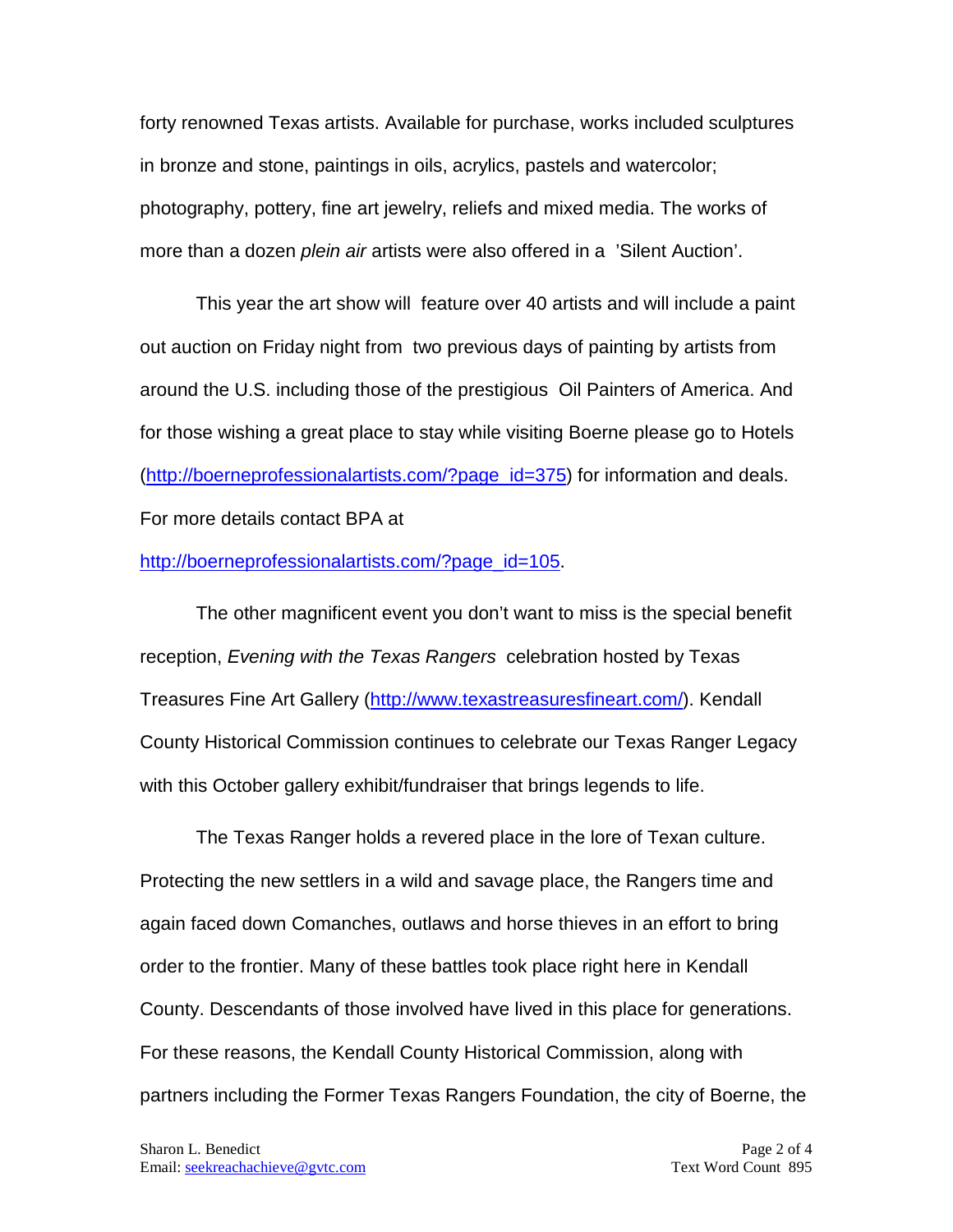forty renowned Texas artists. Available for purchase, works included sculptures in bronze and stone, paintings in oils, acrylics, pastels and watercolor; photography, pottery, fine art jewelry, reliefs and mixed media. The works of more than a dozen *plein air* artists were also offered in a 'Silent Auction'.

This year the art show will feature over 40 artists and will include a paint out auction on Friday night from two previous days of painting by artists from around the U.S. including those of the prestigious Oil Painters of America. And for those wishing a great place to stay while visiting Boerne please go to Hotels [\(http://boerneprofessionalartists.com/?page\\_id=375\)](http://boerneprofessionalartists.com/?page_id=375) for information and deals. For more details contact BPA at

#### [http://boerneprofessionalartists.com/?page\\_id=105.](http://boerneprofessionalartists.com/?page_id=105)

The other magnificent event you don't want to miss is the special benefit reception, *Evening with the Texas Rangers* celebration hosted by Texas Treasures Fine Art Gallery [\(http://www.texastreasuresfineart.com/\)](http://www.texastreasuresfineart.com/). Kendall County Historical Commission continues to celebrate our Texas Ranger Legacy with this October gallery exhibit/fundraiser that brings legends to life.

The Texas Ranger holds a revered place in the lore of Texan culture. Protecting the new settlers in a wild and savage place, the Rangers time and again faced down Comanches, outlaws and horse thieves in an effort to bring order to the frontier. Many of these battles took place right here in Kendall County. Descendants of those involved have lived in this place for generations. For these reasons, the Kendall County Historical Commission, along with partners including the Former Texas Rangers Foundation, the city of Boerne, the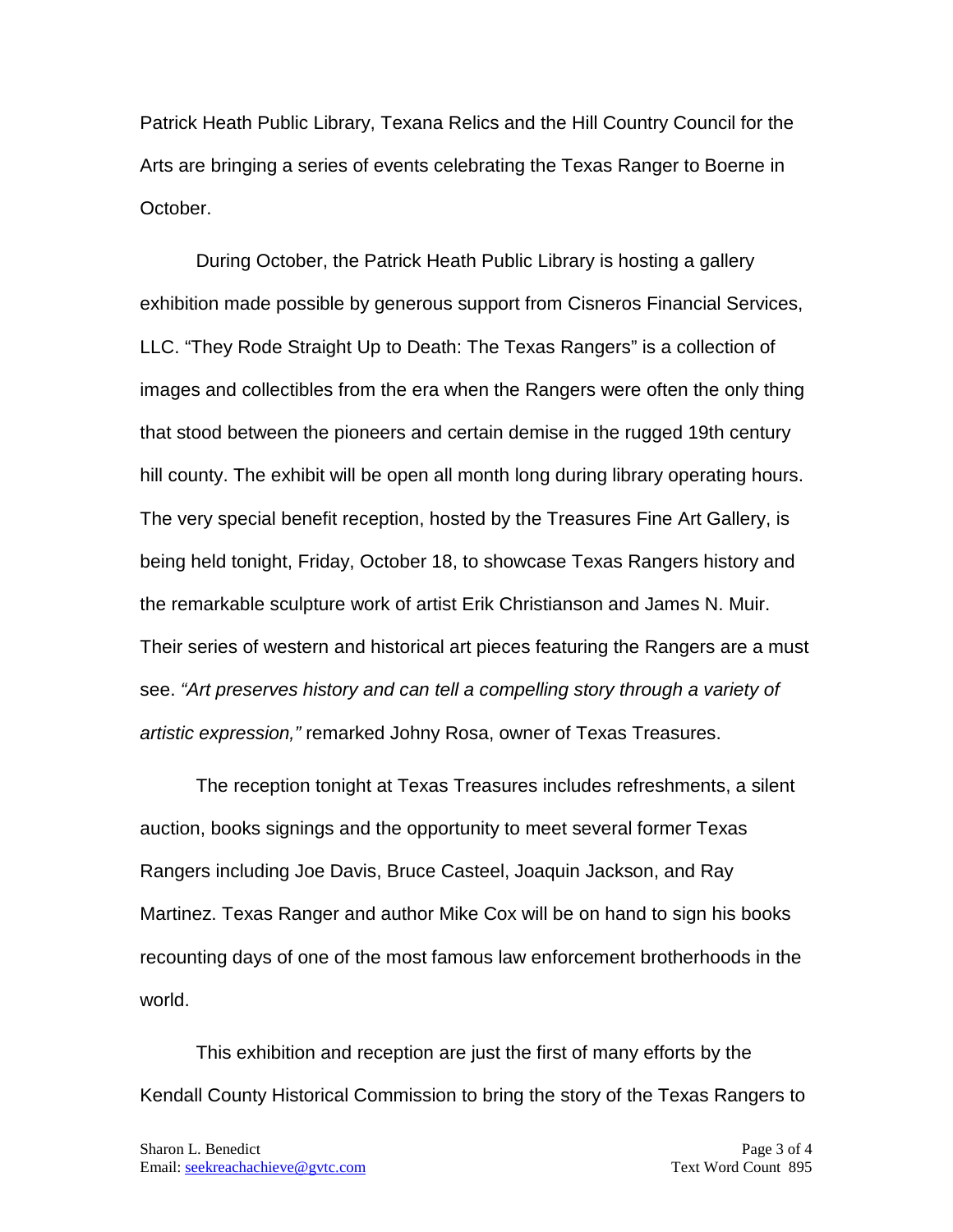Patrick Heath Public Library, Texana Relics and the Hill Country Council for the Arts are bringing a series of events celebrating the Texas Ranger to Boerne in October.

During October, the Patrick Heath Public Library is hosting a gallery exhibition made possible by generous support from Cisneros Financial Services, LLC. "They Rode Straight Up to Death: The Texas Rangers" is a collection of images and collectibles from the era when the Rangers were often the only thing that stood between the pioneers and certain demise in the rugged 19th century hill county. The exhibit will be open all month long during library operating hours. The very special benefit reception, hosted by the Treasures Fine Art Gallery, is being held tonight, Friday, October 18, to showcase Texas Rangers history and the remarkable sculpture work of artist Erik Christianson and James N. Muir. Their series of western and historical art pieces featuring the Rangers are a must see. *"Art preserves history and can tell a compelling story through a variety of artistic expression,"* remarked Johny Rosa, owner of Texas Treasures.

The reception tonight at Texas Treasures includes refreshments, a silent auction, books signings and the opportunity to meet several former Texas Rangers including Joe Davis, Bruce Casteel, Joaquin Jackson, and Ray Martinez. Texas Ranger and author Mike Cox will be on hand to sign his books recounting days of one of the most famous law enforcement brotherhoods in the world.

This exhibition and reception are just the first of many efforts by the Kendall County Historical Commission to bring the story of the Texas Rangers to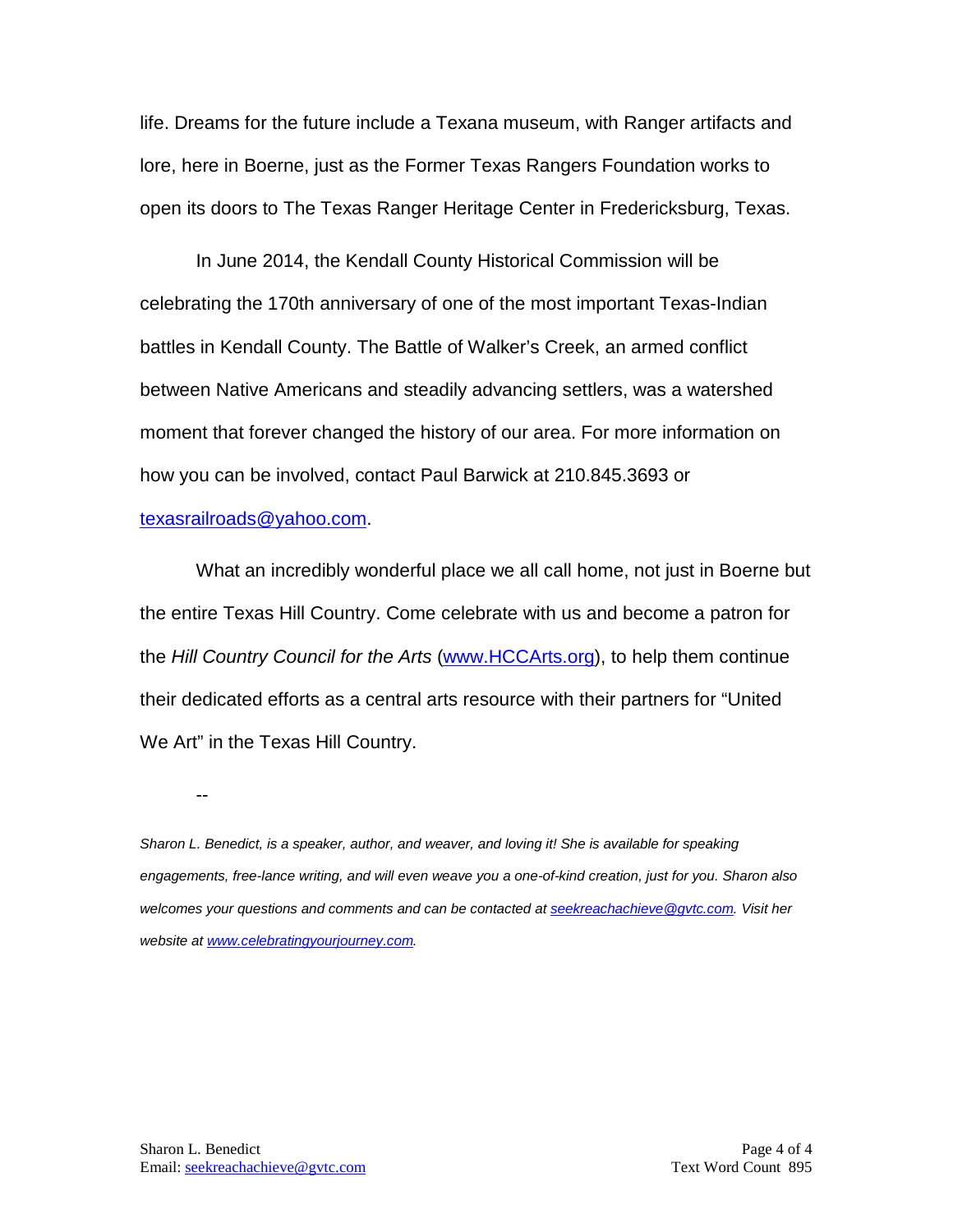life. Dreams for the future include a Texana museum, with Ranger artifacts and lore, here in Boerne, just as the Former Texas Rangers Foundation works to open its doors to The Texas Ranger Heritage Center in Fredericksburg, Texas.

In June 2014, the Kendall County Historical Commission will be celebrating the 170th anniversary of one of the most important Texas-Indian battles in Kendall County. The Battle of Walker's Creek, an armed conflict between Native Americans and steadily advancing settlers, was a watershed moment that forever changed the history of our area. For more information on how you can be involved, contact Paul Barwick at 210.845.3693 or [texasrailroads@yahoo.com.](mailto:texasrailroads@yahoo.com)

What an incredibly wonderful place we all call home, not just in Boerne but the entire Texas Hill Country. Come celebrate with us and become a patron for the *Hill Country Council for the Arts* [\(www.HCCArts.org\)](http://www.hccarts.org/), to help them continue their dedicated efforts as a central arts resource with their partners for "United We Art" in the Texas Hill Country.

--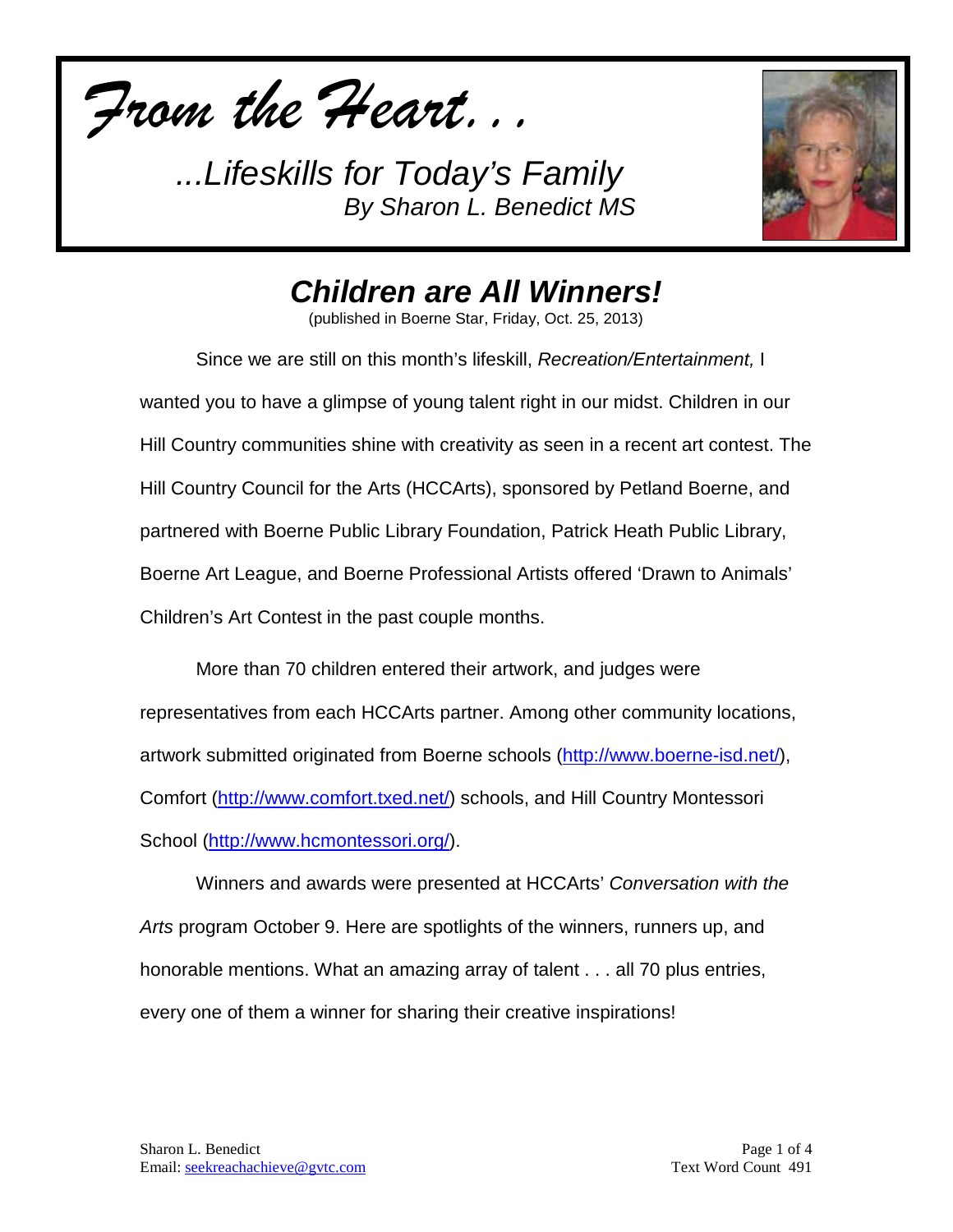*From the Heart...*



*Children are All Winners!*

(published in Boerne Star, Friday, Oct. 25, 2013)

Since we are still on this month's lifeskill, *Recreation/Entertainment,* I wanted you to have a glimpse of young talent right in our midst. Children in our Hill Country communities shine with creativity as seen in a recent art contest. The Hill Country Council for the Arts (HCCArts), sponsored by Petland Boerne, and partnered with Boerne Public Library Foundation, Patrick Heath Public Library, Boerne Art League, and Boerne Professional Artists offered 'Drawn to Animals' Children's Art Contest in the past couple months.

More than 70 children entered their artwork, and judges were representatives from each HCCArts partner. Among other community locations, artwork submitted originated from Boerne schools [\(http://www.boerne-isd.net/\)](http://www.boerne-isd.net/), Comfort [\(http://www.comfort.txed.net/\)](http://www.comfort.txed.net/) schools, and Hill Country Montessori School [\(http://www.hcmontessori.org/\)](http://www.hcmontessori.org/).

Winners and awards were presented at HCCArts' *Conversation with the Arts* program October 9. Here are spotlights of the winners, runners up, and honorable mentions. What an amazing array of talent . . . all 70 plus entries, every one of them a winner for sharing their creative inspirations!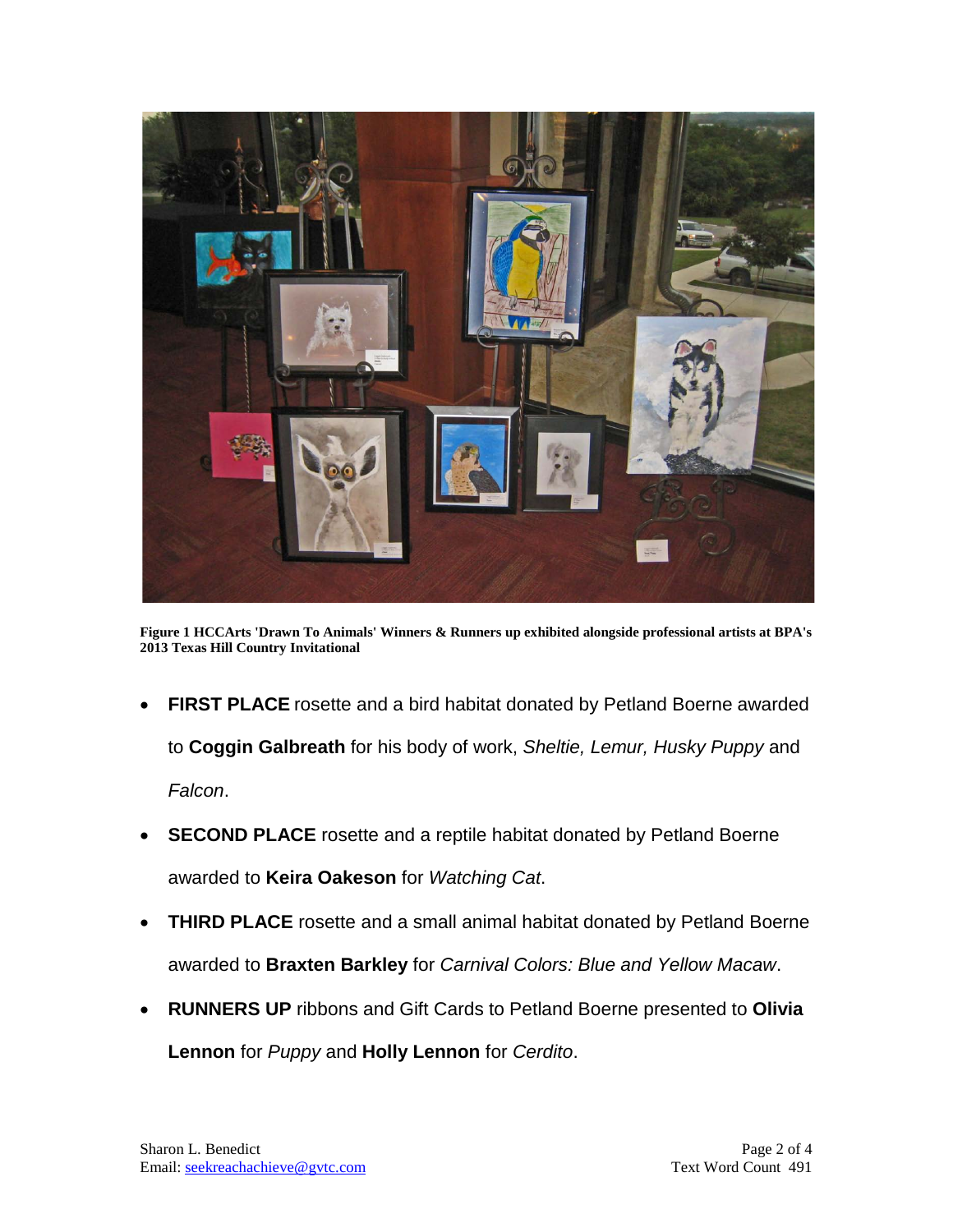

**Figure 1 HCCArts 'Drawn To Animals' Winners & Runners up exhibited alongside professional artists at BPA's 2013 Texas Hill Country Invitational**

- **FIRST PLACE** rosette and a bird habitat donated by Petland Boerne awarded to **Coggin Galbreath** for his body of work, *Sheltie, Lemur, Husky Puppy* and *Falcon*.
- **SECOND PLACE** rosette and a reptile habitat donated by Petland Boerne awarded to **Keira Oakeson** for *Watching Cat*.
- **THIRD PLACE** rosette and a small animal habitat donated by Petland Boerne awarded to **Braxten Barkley** for *Carnival Colors: Blue and Yellow Macaw*.
- **RUNNERS UP** ribbons and Gift Cards to Petland Boerne presented to **Olivia Lennon** for *Puppy* and **Holly Lennon** for *Cerdito*.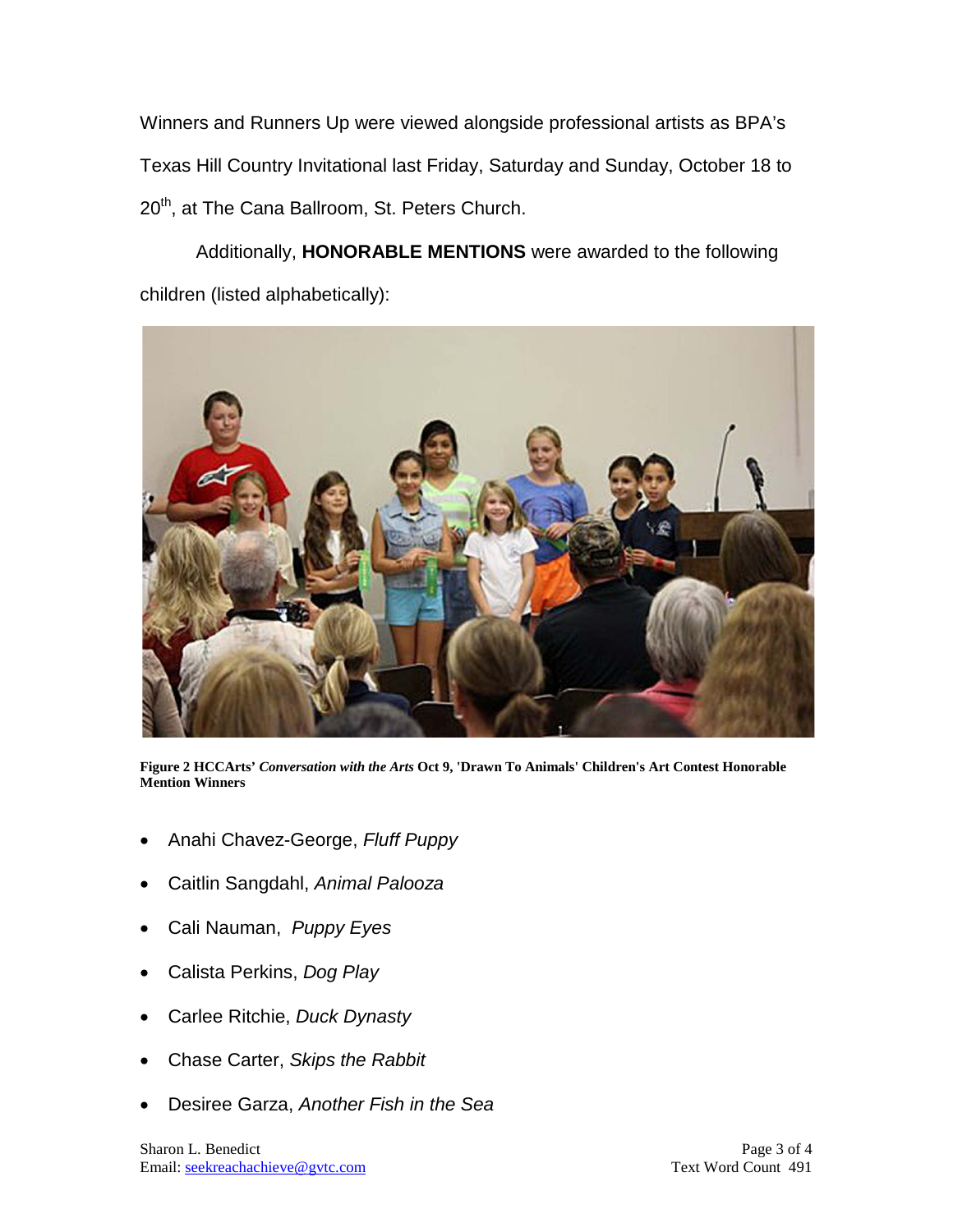Winners and Runners Up were viewed alongside professional artists as BPA's Texas Hill Country Invitational last Friday, Saturday and Sunday, October 18 to 20<sup>th</sup>, at The Cana Ballroom, St. Peters Church.

Additionally, **HONORABLE MENTIONS** were awarded to the following children (listed alphabetically):



**Figure 2 HCCArts'** *Conversation with the Arts* **Oct 9, 'Drawn To Animals' Children's Art Contest Honorable Mention Winners**

- Anahi Chavez-George, *Fluff Puppy*
- Caitlin Sangdahl, *Animal Palooza*
- Cali Nauman, *Puppy Eyes*
- Calista Perkins, *Dog Play*
- Carlee Ritchie, *Duck Dynasty*
- Chase Carter, *Skips the Rabbit*
- Desiree Garza, *Another Fish in the Sea*

Sharon L. Benedict Page 3 of 4 Email: [seekreachachieve@gvtc.com](mailto:seekreachachieve@gvtc.com) Text Word Count 491